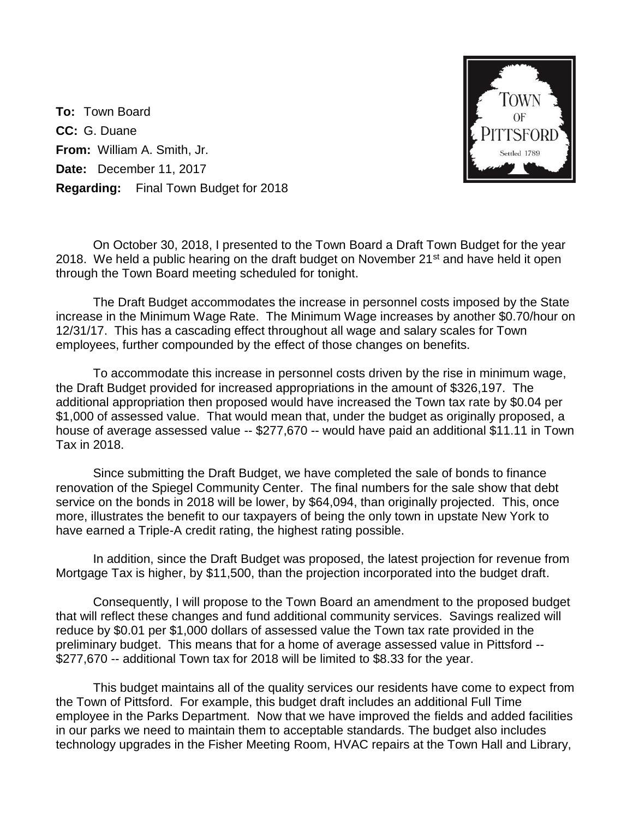**To:** Town Board **CC:** G. Duane **From:** William A. Smith, Jr. **Date:** December 11, 2017 **Regarding:** Final Town Budget for 2018



On October 30, 2018, I presented to the Town Board a Draft Town Budget for the year 2018. We held a public hearing on the draft budget on November  $21^{st}$  and have held it open through the Town Board meeting scheduled for tonight.

The Draft Budget accommodates the increase in personnel costs imposed by the State increase in the Minimum Wage Rate. The Minimum Wage increases by another \$0.70/hour on 12/31/17. This has a cascading effect throughout all wage and salary scales for Town employees, further compounded by the effect of those changes on benefits.

To accommodate this increase in personnel costs driven by the rise in minimum wage, the Draft Budget provided for increased appropriations in the amount of \$326,197. The additional appropriation then proposed would have increased the Town tax rate by \$0.04 per \$1,000 of assessed value. That would mean that, under the budget as originally proposed, a house of average assessed value -- \$277,670 -- would have paid an additional \$11.11 in Town Tax in 2018.

Since submitting the Draft Budget, we have completed the sale of bonds to finance renovation of the Spiegel Community Center. The final numbers for the sale show that debt service on the bonds in 2018 will be lower, by \$64,094, than originally projected. This, once more, illustrates the benefit to our taxpayers of being the only town in upstate New York to have earned a Triple-A credit rating, the highest rating possible.

In addition, since the Draft Budget was proposed, the latest projection for revenue from Mortgage Tax is higher, by \$11,500, than the projection incorporated into the budget draft.

Consequently, I will propose to the Town Board an amendment to the proposed budget that will reflect these changes and fund additional community services. Savings realized will reduce by \$0.01 per \$1,000 dollars of assessed value the Town tax rate provided in the preliminary budget. This means that for a home of average assessed value in Pittsford -- \$277,670 -- additional Town tax for 2018 will be limited to \$8.33 for the year.

This budget maintains all of the quality services our residents have come to expect from the Town of Pittsford. For example, this budget draft includes an additional Full Time employee in the Parks Department. Now that we have improved the fields and added facilities in our parks we need to maintain them to acceptable standards. The budget also includes technology upgrades in the Fisher Meeting Room, HVAC repairs at the Town Hall and Library,